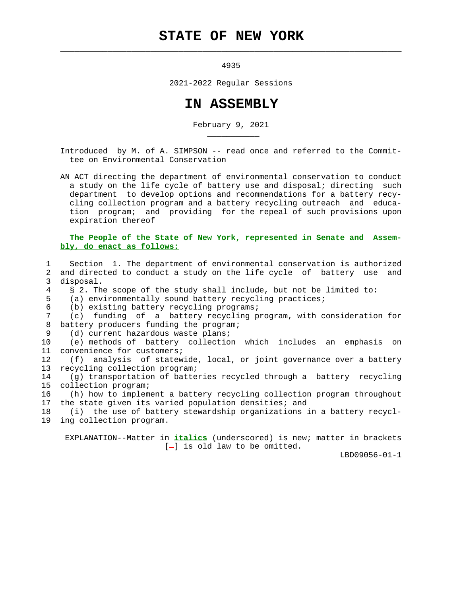## **STATE OF NEW YORK**

 $\mathcal{L}_\text{max} = \frac{1}{2} \sum_{i=1}^{n} \frac{1}{2} \sum_{i=1}^{n} \frac{1}{2} \sum_{i=1}^{n} \frac{1}{2} \sum_{i=1}^{n} \frac{1}{2} \sum_{i=1}^{n} \frac{1}{2} \sum_{i=1}^{n} \frac{1}{2} \sum_{i=1}^{n} \frac{1}{2} \sum_{i=1}^{n} \frac{1}{2} \sum_{i=1}^{n} \frac{1}{2} \sum_{i=1}^{n} \frac{1}{2} \sum_{i=1}^{n} \frac{1}{2} \sum_{i=1}^{n} \frac{1$ 

\_\_\_\_\_\_\_\_\_\_\_

4935

2021-2022 Regular Sessions

## **IN ASSEMBLY**

February 9, 2021

 Introduced by M. of A. SIMPSON -- read once and referred to the Commit tee on Environmental Conservation

 AN ACT directing the department of environmental conservation to conduct a study on the life cycle of battery use and disposal; directing such department to develop options and recommendations for a battery recy cling collection program and a battery recycling outreach and educa tion program; and providing for the repeal of such provisions upon expiration thereof

## **The People of the State of New York, represented in Senate and Assem bly, do enact as follows:**

 1 Section 1. The department of environmental conservation is authorized 2 and directed to conduct a study on the life cycle of battery use and 3 disposal. 4 § 2. The scope of the study shall include, but not be limited to: 5 (a) environmentally sound battery recycling practices; 6 (b) existing battery recycling programs; 7 (c) funding of a battery recycling program, with consideration for 8 battery producers funding the program; 9 (d) current hazardous waste plans; 10 (e) methods of battery collection which includes an emphasis on 11 convenience for customers; 12 (f) analysis of statewide, local, or joint governance over a battery 13 recycling collection program; 14 (g) transportation of batteries recycled through a battery recycling 15 collection program; 16 (h) how to implement a battery recycling collection program throughout 17 the state given its varied population densities; and 18 (i) the use of battery stewardship organizations in a battery recycl- 19 ing collection program.

 EXPLANATION--Matter in **italics** (underscored) is new; matter in brackets  $[-]$  is old law to be omitted.

LBD09056-01-1